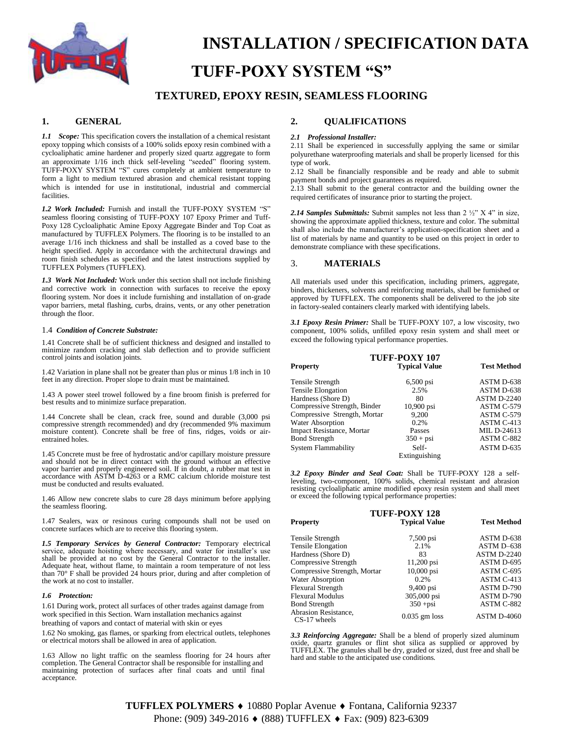

# **INSTALLATION / SPECIFICATION DATA TUFF-POXY SYSTEM "S"**

## **TEXTURED, EPOXY RESIN, SEAMLESS FLOORING**

## **1. GENERAL**

*1.1 Scope:* This specification covers the installation of a chemical resistant epoxy topping which consists of a 100% solids epoxy resin combined with a cycloaliphatic amine hardener and properly sized quartz aggregate to form an approximate 1/16 inch thick self-leveling "seeded" flooring system. TUFF-POXY SYSTEM "S" cures completely at ambient temperature to form a light to medium textured abrasion and chemical resistant topping which is intended for use in institutional, industrial and commercial facilities.

*1.2 Work Included:* Furnish and install the TUFF-POXY SYSTEM "S" seamless flooring consisting of TUFF-POXY 107 Epoxy Primer and Tuff-Poxy 128 Cycloaliphatic Amine Epoxy Aggregate Binder and Top Coat as manufactured by TUFFLEX Polymers. The flooring is to be installed to an average 1/16 inch thickness and shall be installed as a coved base to the height specified. Apply in accordance with the architectural drawings and room finish schedules as specified and the latest instructions supplied by TUFFLEX Polymers (TUFFLEX).

*1.3 Work Not Included:* Work under this section shall not include finishing and corrective work in connection with surfaces to receive the epoxy flooring system. Nor does it include furnishing and installation of on-grade vapor barriers, metal flashing, curbs, drains, vents, or any other penetration through the floor.

#### 1.4 *Condition of Concrete Substrate:*

1.41 Concrete shall be of sufficient thickness and designed and installed to minimize random cracking and slab deflection and to provide sufficient control joints and isolation joints.

1.42 Variation in plane shall not be greater than plus or minus 1/8 inch in 10 feet in any direction. Proper slope to drain must be maintained.

1.43 A power steel trowel followed by a fine broom finish is preferred for best results and to minimize surface preparation.

1.44 Concrete shall be clean, crack free, sound and durable (3,000 psi compressive strength recommended) and dry (recommended 9% maximum moisture content). Concrete shall be free of fins, ridges, voids or airentrained holes.

1.45 Concrete must be free of hydrostatic and/or capillary moisture pressure and should not be in direct contact with the ground without an effective vapor barrier and properly engineered soil. If in doubt, a rubber mat test in accordance with ASTM D-4263 or a RMC calcium chloride moisture test must be conducted and results evaluated.

1.46 Allow new concrete slabs to cure 28 days minimum before applying the seamless flooring.

1.47 Sealers, wax or resinous curing compounds shall not be used on concrete surfaces which are to receive this flooring system.

*1.5 Temporary Services by General Contractor:* Temporary electrical service, adequate hoisting where necessary, and water for installer's use shall be provided at no cost by the General Contractor to the installer. Adequate heat, without flame, to maintain a room temperature of not less than 70° F shall be provided 24 hours prior, during and after completion of the work at no cost to installer.

#### *1.6 Protection:*

1.61 During work, protect all surfaces of other trades against damage from work specified in this Section. Warn installation mechanics against breathing of vapors and contact of material with skin or eyes

1.62 No smoking, gas flames, or sparking from electrical outlets, telephones or electrical motors shall be allowed in area of application.

1.63 Allow no light traffic on the seamless flooring for 24 hours after completion. The General Contractor shall be responsible for installing and maintaining protection of surfaces after final coats and until final acceptance.

## **2. QUALIFICATIONS**

#### *2.1 Professional Installer:*

2.11 Shall be experienced in successfully applying the same or similar polyurethane waterproofing materials and shall be properly licensed for this type of work.

2.12 Shall be financially responsible and be ready and able to submit payment bonds and project guarantees as required.

2.13 Shall submit to the general contractor and the building owner the required certificates of insurance prior to starting the project.

*2.14 Samples Submittals:* Submit samples not less than 2 ½" X 4" in size, showing the approximate applied thickness, texture and color. The submittal shall also include the manufacturer's application-specification sheet and a list of materials by name and quantity to be used on this project in order to demonstrate compliance with these specifications.

## 3. **MATERIALS**

All materials used under this specification, including primers, aggregate, binders, thickeners, solvents and reinforcing materials, shall be furnished or approved by TUFFLEX. The components shall be delivered to the job site in factory-sealed containers clearly marked with identifying labels.

*3.1 Epoxy Resin Primer:* Shall be TUFF-POXY 107, a low viscosity, two component, 100% solids, unfilled epoxy resin system and shall meet or exceed the following typical performance properties.

| <b>TUFF-POXY 107</b>             |                      |                    |  |
|----------------------------------|----------------------|--------------------|--|
| Property                         | <b>Typical Value</b> | <b>Test Method</b> |  |
| Tensile Strength                 | $6,500$ psi          | ASTM D-638         |  |
| <b>Tensile Elongation</b>        | 2.5%                 | ASTM D-638         |  |
| Hardness (Shore D)               | 80                   | <b>ASTM D-2240</b> |  |
| Compressive Strength, Binder     | $10,900$ psi         | ASTM C-579         |  |
| Compressive Strength, Mortar     | 9.200                | ASTM C-579         |  |
| <b>Water Absorption</b>          | 0.2%                 | ASTM C-413         |  |
| <b>Impact Resistance, Mortar</b> | Passes               | MIL D-24613        |  |
| <b>Bond Strength</b>             | $350 + psi$          | ASTM C-882         |  |
| System Flammability              | Self-                | ASTM D-635         |  |
|                                  | Extinguishing        |                    |  |

*3.2 Epoxy Binder and Seal Coat:* Shall be TUFF-POXY 128 a selfleveling, two-component, 100% solids, chemical resistant and abrasion resisting cycloaliphatic amine modified epoxy resin system and shall meet or exceed the following typical performance properties:

| <b>TUFF-POXY 128</b>                   |                      |                    |  |
|----------------------------------------|----------------------|--------------------|--|
| <b>Property</b>                        | <b>Typical Value</b> | <b>Test Method</b> |  |
| Tensile Strength                       | 7,500 psi            | ASTM D-638         |  |
| <b>Tensile Elongation</b>              | 2.1%                 | ASTM D-638         |  |
| Hardness (Shore D)                     | 83                   | ASTM D-2240        |  |
| Compressive Strength                   | $11,200$ psi         | ASTM D-695         |  |
| Compressive Strength, Mortar           | 10,000 psi           | ASTM C-695         |  |
| Water Absorption                       | 0.2%                 | ASTM C-413         |  |
| <b>Flexural Strength</b>               | 9,400 psi            | ASTM D-790         |  |
| <b>Flexural Modulus</b>                | 305,000 psi          | ASTM D-790         |  |
| <b>Bond Strength</b>                   | $350 + psi$          | ASTM C-882         |  |
| Abrasion Resistance,<br>$CS-17$ wheels | $0.035$ gm loss      | <b>ASTM D-4060</b> |  |

*3.3 Reinforcing Aggregate:* Shall be a blend of properly sized aluminum oxide, quartz granules or flint shot silica as supplied or approved by TUFFLEX. The granules shall be dry, graded or sized, dust free and shall be hard and stable to the anticipated use conditions.

**TUFFLEX POLYMERS ♦ 10880 Poplar Avenue ♦ Fontana, California 92337** Phone: (909) 349-2016 ♦ (888) TUFFLEX ♦ Fax: (909) 823-6309